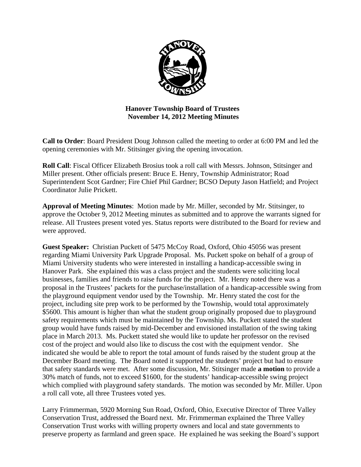

# **Hanover Township Board of Trustees November 14, 2012 Meeting Minutes**

**Call to Order**: Board President Doug Johnson called the meeting to order at 6:00 PM and led the opening ceremonies with Mr. Stitsinger giving the opening invocation.

**Roll Call**: Fiscal Officer Elizabeth Brosius took a roll call with Messrs. Johnson, Stitsinger and Miller present. Other officials present: Bruce E. Henry, Township Administrator; Road Superintendent Scot Gardner; Fire Chief Phil Gardner; BCSO Deputy Jason Hatfield; and Project Coordinator Julie Prickett.

**Approval of Meeting Minutes**: Motion made by Mr. Miller, seconded by Mr. Stitsinger, to approve the October 9, 2012 Meeting minutes as submitted and to approve the warrants signed for release. All Trustees present voted yes. Status reports were distributed to the Board for review and were approved.

**Guest Speaker:** Christian Puckett of 5475 McCoy Road, Oxford, Ohio 45056 was present regarding Miami University Park Upgrade Proposal. Ms. Puckett spoke on behalf of a group of Miami University students who were interested in installing a handicap-accessible swing in Hanover Park. She explained this was a class project and the students were soliciting local businesses, families and friends to raise funds for the project. Mr. Henry noted there was a proposal in the Trustees' packets for the purchase/installation of a handicap-accessible swing from the playground equipment vendor used by the Township. Mr. Henry stated the cost for the project, including site prep work to be performed by the Township, would total approximately \$5600. This amount is higher than what the student group originally proposed due to playground safety requirements which must be maintained by the Township. Ms. Puckett stated the student group would have funds raised by mid-December and envisioned installation of the swing taking place in March 2013. Ms. Puckett stated she would like to update her professor on the revised cost of the project and would also like to discuss the cost with the equipment vendor. She indicated she would be able to report the total amount of funds raised by the student group at the December Board meeting. The Board noted it supported the students' project but had to ensure that safety standards were met. After some discussion, Mr. Stitsinger made **a motion** to provide a 30% match of funds, not to exceed \$1600, for the students' handicap-accessible swing project which complied with playground safety standards. The motion was seconded by Mr. Miller. Upon a roll call vote, all three Trustees voted yes.

Larry Frimmerman, 5920 Morning Sun Road, Oxford, Ohio, Executive Director of Three Valley Conservation Trust, addressed the Board next. Mr. Frimmerman explained the Three Valley Conservation Trust works with willing property owners and local and state governments to preserve property as farmland and green space. He explained he was seeking the Board's support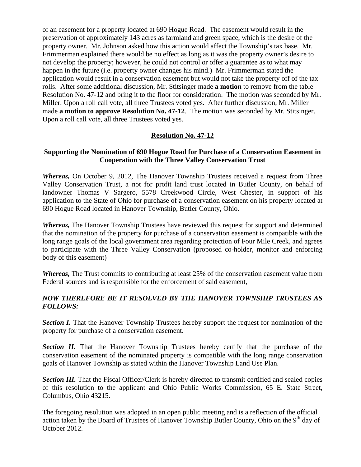of an easement for a property located at 690 Hogue Road. The easement would result in the preservation of approximately 143 acres as farmland and green space, which is the desire of the property owner. Mr. Johnson asked how this action would affect the Township's tax base. Mr. Frimmerman explained there would be no effect as long as it was the property owner's desire to not develop the property; however, he could not control or offer a guarantee as to what may happen in the future (i.e. property owner changes his mind.) Mr. Frimmerman stated the application would result in a conservation easement but would not take the property off of the tax rolls. After some additional discussion, Mr. Stitsinger made **a motion** to remove from the table Resolution No. 47-12 and bring it to the floor for consideration. The motion was seconded by Mr. Miller. Upon a roll call vote, all three Trustees voted yes. After further discussion, Mr. Miller made **a motion to approve Resolution No. 47-12**. The motion was seconded by Mr. Stitsinger. Upon a roll call vote, all three Trustees voted yes.

# **Resolution No. 47-12**

# **Supporting the Nomination of 690 Hogue Road for Purchase of a Conservation Easement in Cooperation with the Three Valley Conservation Trust**

*Whereas,* On October 9, 2012, The Hanover Township Trustees received a request from Three Valley Conservation Trust, a not for profit land trust located in Butler County, on behalf of landowner Thomas V Sargero, 5578 Creekwood Circle, West Chester, in support of his application to the State of Ohio for purchase of a conservation easement on his property located at 690 Hogue Road located in Hanover Township, Butler County, Ohio.

*Whereas,* The Hanover Township Trustees have reviewed this request for support and determined that the nomination of the property for purchase of a conservation easement is compatible with the long range goals of the local government area regarding protection of Four Mile Creek, and agrees to participate with the Three Valley Conservation (proposed co-holder, monitor and enforcing body of this easement)

*Whereas,* The Trust commits to contributing at least 25% of the conservation easement value from Federal sources and is responsible for the enforcement of said easement,

# *NOW THEREFORE BE IT RESOLVED BY THE HANOVER TOWNSHIP TRUSTEES AS FOLLOWS:*

**Section I.** That the Hanover Township Trustees hereby support the request for nomination of the property for purchase of a conservation easement.

**Section II.** That the Hanover Township Trustees hereby certify that the purchase of the conservation easement of the nominated property is compatible with the long range conservation goals of Hanover Township as stated within the Hanover Township Land Use Plan.

**Section III.** That the Fiscal Officer/Clerk is hereby directed to transmit certified and sealed copies of this resolution to the applicant and Ohio Public Works Commission, 65 E. State Street, Columbus, Ohio 43215.

The foregoing resolution was adopted in an open public meeting and is a reflection of the official action taken by the Board of Trustees of Hanover Township Butler County, Ohio on the  $9<sup>th</sup>$  day of October 2012.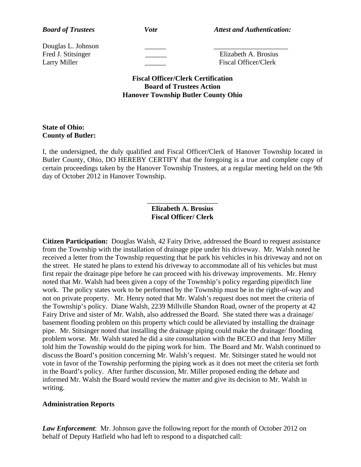*Board of Trustees Vote Vote Attest and Authentication:* 

Douglas L. Johnson \_\_\_\_\_\_ \_\_\_\_\_\_\_\_\_\_\_\_\_\_\_\_\_\_\_\_\_

Fred J. Stitsinger **Elizabeth A. Brosius** Larry Miller Fiscal Officer/Clerk

> **Fiscal Officer/Clerk Certification Board of Trustees Action Hanover Township Butler County Ohio**

# **State of Ohio: County of Butler:**

I, the undersigned, the duly qualified and Fiscal Officer/Clerk of Hanover Township located in Butler County, Ohio, DO HEREBY CERTIFY that the foregoing is a true and complete copy of certain proceedings taken by the Hanover Township Trustees, at a regular meeting held on the 9th day of October 2012 in Hanover Township.

#### \_\_\_\_\_\_\_\_\_\_\_\_\_\_\_\_\_\_\_\_ **Elizabeth A. Brosius Fiscal Officer/ Clerk**

**Citizen Participation:** Douglas Walsh, 42 Fairy Drive, addressed the Board to request assistance from the Township with the installation of drainage pipe under his driveway. Mr. Walsh noted he received a letter from the Township requesting that he park his vehicles in his driveway and not on the street. He stated he plans to extend his driveway to accommodate all of his vehicles but must first repair the drainage pipe before he can proceed with his driveway improvements. Mr. Henry noted that Mr. Walsh had been given a copy of the Township's policy regarding pipe/ditch line work. The policy states work to be performed by the Township must be in the right-of-way and not on private property. Mr. Henry noted that Mr. Walsh's request does not meet the criteria of the Township's policy. Diane Walsh, 2239 Millville Shandon Road, owner of the property at 42 Fairy Drive and sister of Mr. Walsh, also addressed the Board. She stated there was a drainage/ basement flooding problem on this property which could be alleviated by installing the drainage pipe. Mr. Stitsinger noted that installing the drainage piping could make the drainage/ flooding problem worse. Mr. Walsh stated he did a site consultation with the BCEO and that Jerry Miller told him the Township would do the piping work for him. The Board and Mr. Walsh continued to discuss the Board's position concerning Mr. Walsh's request. Mr. Stitsinger stated he would not vote in favor of the Township performing the piping work as it does not meet the criteria set forth in the Board's policy. After further discussion, Mr. Miller proposed ending the debate and informed Mr. Walsh the Board would review the matter and give its decision to Mr. Walsh in writing.

# **Administration Reports**

*Law Enforcement*: Mr. Johnson gave the following report for the month of October 2012 on behalf of Deputy Hatfield who had left to respond to a dispatched call: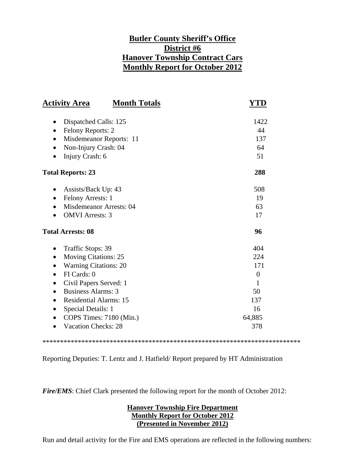# **Butler County Sheriff's Office District #6 Hanover Township Contract Cars Monthly Report for October 2012**

| <b>Activity Area</b><br><b>Month Totals</b> | YT <u>D</u>      |
|---------------------------------------------|------------------|
| Dispatched Calls: 125<br>٠                  | 1422             |
| Felony Reports: 2<br>$\bullet$              | 44               |
| Misdemeanor Reports: 11<br>$\bullet$        | 137              |
| Non-Injury Crash: 04<br>$\bullet$           | 64               |
| Injury Crash: 6                             | 51               |
| <b>Total Reports: 23</b>                    | 288              |
| Assists/Back Up: 43<br>$\bullet$            | 508              |
| Felony Arrests: 1<br>$\bullet$              | 19               |
| <b>Misdemeanor Arrests: 04</b>              | 63               |
| <b>OMVI</b> Arrests: 3                      | 17               |
| <b>Total Arrests: 08</b>                    | 96               |
| Traffic Stops: 39<br>$\bullet$              | 404              |
| <b>Moving Citations: 25</b><br>$\bullet$    | 224              |
| <b>Warning Citations: 20</b><br>$\bullet$   | 171              |
| FI Cards: 0<br>$\bullet$                    | $\boldsymbol{0}$ |
| Civil Papers Served: 1<br>$\bullet$         | 1                |
| <b>Business Alarms: 3</b><br>$\bullet$      | 50               |
| <b>Residential Alarms: 15</b><br>$\bullet$  | 137              |
| Special Details: 1                          | 16               |
| COPS Times: 7180 (Min.)                     | 64,885           |
| <b>Vacation Checks: 28</b>                  | 378              |

\*\*\*\*\*\*\*\*\*\*\*\*\*\*\*\*\*\*\*\*\*\*\*\*\*\*\*\*\*\*\*\*\*\*\*\*\*\*\*\*\*\*\*\*\*\*\*\*\*\*\*\*\*\*\*\*\*\*\*\*\*\*\*\*\*\*\*\*\*\*\*\*\*

Reporting Deputies: T. Lentz and J. Hatfield/ Report prepared by HT Administration

*Fire/EMS*: Chief Clark presented the following report for the month of October 2012:

# **Hanover Township Fire Department Monthly Report for October 2012 (Presented in November 2012)**

Run and detail activity for the Fire and EMS operations are reflected in the following numbers: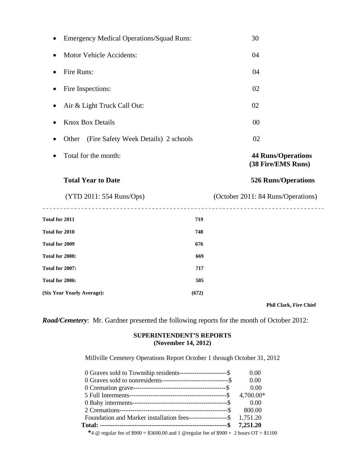| <b>Emergency Medical Operations/Squad Runs:</b>            | 30                                              |
|------------------------------------------------------------|-------------------------------------------------|
| <b>Motor Vehicle Accidents:</b><br>$\bullet$               | 04                                              |
| Fire Runs:<br>$\bullet$                                    | 04                                              |
| Fire Inspections:<br>$\bullet$                             | 02                                              |
| Air & Light Truck Call Out:                                | 02                                              |
| <b>Knox Box Details</b>                                    | 00                                              |
| (Fire Safety Week Details) 2 schools<br>Other<br>$\bullet$ | 02                                              |
| Total for the month:                                       | <b>44 Runs/Operations</b><br>(38 Fire/EMS Runs) |
|                                                            |                                                 |
| <b>Total Year to Date</b>                                  | <b>526 Runs/Operations</b>                      |
| (YTD 2011: 554 Runs/Ops)                                   | (October 2011: 84 Runs/Operations)              |
| ----------------<br><b>Total for 2011</b><br>719           |                                                 |
| <b>Total for 2010</b><br>748                               |                                                 |
| <b>Total for 2009</b><br>676                               |                                                 |
| Total for 2008:<br>669                                     |                                                 |
| Total for 2007:<br>717                                     |                                                 |
| Total for 2006:<br>505                                     |                                                 |

 **Phil Clark, Fire Chief** 

*Road/Cemetery*: Mr. Gardner presented the following reports for the month of October 2012:

#### **SUPERINTENDENT'S REPORTS (November 14, 2012)**

Millville Cemetery Operations Report October 1 through October 31, 2012

| 0 Graves sold to Township residents-----------------------\$         | 0.00      |
|----------------------------------------------------------------------|-----------|
| 0 Graves sold to nonresidents---------------------------------\$     | 0.00      |
|                                                                      | 0.00      |
|                                                                      | 4,700.00* |
|                                                                      | 0.00      |
|                                                                      | 800.00    |
| Foundation and Marker installation fees------------------\$ 1,751.20 |           |
|                                                                      |           |

 **\***4 @ regular fee of \$900 = \$3600.00 and 1 @regular fee of \$900 + 2 hours OT = \$1100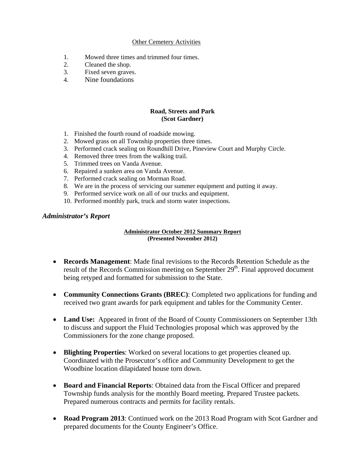#### Other Cemetery Activities

- 1. Mowed three times and trimmed four times.
- 2. Cleaned the shop.
- 3. Fixed seven graves.
- 4. Nine foundations

#### **Road, Streets and Park (Scot Gardner)**

- 1. Finished the fourth round of roadside mowing.
- 2. Mowed grass on all Township properties three times.
- 3. Performed crack sealing on Roundhill Drive, Pineview Court and Murphy Circle.
- 4. Removed three trees from the walking trail.
- 5. Trimmed trees on Vanda Avenue.
- 6. Repaired a sunken area on Vanda Avenue.
- 7. Performed crack sealing on Morman Road.
- 8. We are in the process of servicing our summer equipment and putting it away.
- 9. Performed service work on all of our trucks and equipment.
- 10. Performed monthly park, truck and storm water inspections.

#### *Administrator's Report*

#### **Administrator October 2012 Summary Report (Presented November 2012)**

- **Records Management**: Made final revisions to the Records Retention Schedule as the result of the Records Commission meeting on September  $29<sup>th</sup>$ . Final approved document being retyped and formatted for submission to the State.
- **Community Connections Grants (BREC)**: Completed two applications for funding and received two grant awards for park equipment and tables for the Community Center.
- **Land Use:** Appeared in front of the Board of County Commissioners on September 13th to discuss and support the Fluid Technologies proposal which was approved by the Commissioners for the zone change proposed.
- **Blighting Properties**: Worked on several locations to get properties cleaned up. Coordinated with the Prosecutor's office and Community Development to get the Woodbine location dilapidated house torn down.
- **Board and Financial Reports**: Obtained data from the Fiscal Officer and prepared Township funds analysis for the monthly Board meeting. Prepared Trustee packets. Prepared numerous contracts and permits for facility rentals.
- **Road Program 2013**: Continued work on the 2013 Road Program with Scot Gardner and prepared documents for the County Engineer's Office.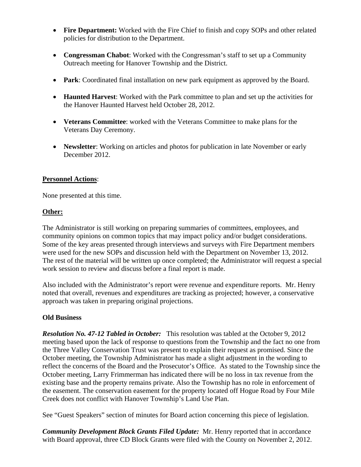- Fire Department: Worked with the Fire Chief to finish and copy SOPs and other related policies for distribution to the Department.
- **Congressman Chabot**: Worked with the Congressman's staff to set up a Community Outreach meeting for Hanover Township and the District.
- **Park**: Coordinated final installation on new park equipment as approved by the Board.
- **Haunted Harvest**: Worked with the Park committee to plan and set up the activities for the Hanover Haunted Harvest held October 28, 2012.
- **Veterans Committee**: worked with the Veterans Committee to make plans for the Veterans Day Ceremony.
- **Newsletter**: Working on articles and photos for publication in late November or early December 2012.

#### **Personnel Actions**:

None presented at this time.

#### **Other:**

The Administrator is still working on preparing summaries of committees, employees, and community opinions on common topics that may impact policy and/or budget considerations. Some of the key areas presented through interviews and surveys with Fire Department members were used for the new SOPs and discussion held with the Department on November 13, 2012. The rest of the material will be written up once completed; the Administrator will request a special work session to review and discuss before a final report is made.

Also included with the Administrator's report were revenue and expenditure reports. Mr. Henry noted that overall, revenues and expenditures are tracking as projected; however, a conservative approach was taken in preparing original projections.

#### **Old Business**

*Resolution No. 47-12 Tabled in October:* This resolution was tabled at the October 9, 2012 meeting based upon the lack of response to questions from the Township and the fact no one from the Three Valley Conservation Trust was present to explain their request as promised. Since the October meeting, the Township Administrator has made a slight adjustment in the wording to reflect the concerns of the Board and the Prosecutor's Office. As stated to the Township since the October meeting, Larry Frimmerman has indicated there will be no loss in tax revenue from the existing base and the property remains private. Also the Township has no role in enforcement of the easement. The conservation easement for the property located off Hogue Road by Four Mile Creek does not conflict with Hanover Township's Land Use Plan.

See "Guest Speakers" section of minutes for Board action concerning this piece of legislation.

*Community Development Block Grants Filed Update:* Mr. Henry reported that in accordance with Board approval, three CD Block Grants were filed with the County on November 2, 2012.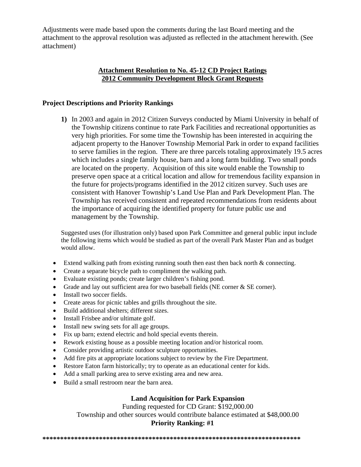Adjustments were made based upon the comments during the last Board meeting and the attachment to the approval resolution was adjusted as reflected in the attachment herewith. (See attachment)

# **Attachment Resolution to No. 45-12 CD Project Ratings 2012 Community Development Block Grant Requests**

#### **Project Descriptions and Priority Rankings**

**1)** In 2003 and again in 2012 Citizen Surveys conducted by Miami University in behalf of the Township citizens continue to rate Park Facilities and recreational opportunities as very high priorities. For some time the Township has been interested in acquiring the adjacent property to the Hanover Township Memorial Park in order to expand facilities to serve families in the region. There are three parcels totaling approximately 19.5 acres which includes a single family house, barn and a long farm building. Two small ponds are located on the property. Acquisition of this site would enable the Township to preserve open space at a critical location and allow for tremendous facility expansion in the future for projects/programs identified in the 2012 citizen survey. Such uses are consistent with Hanover Township's Land Use Plan and Park Development Plan. The Township has received consistent and repeated recommendations from residents about the importance of acquiring the identified property for future public use and management by the Township.

Suggested uses (for illustration only) based upon Park Committee and general public input include the following items which would be studied as part of the overall Park Master Plan and as budget would allow.

- Extend walking path from existing running south then east then back north  $&$  connecting.
- Create a separate bicycle path to compliment the walking path.
- Evaluate existing ponds; create larger children's fishing pond.
- Grade and lay out sufficient area for two baseball fields (NE corner & SE corner).
- Install two soccer fields.
- Create areas for picnic tables and grills throughout the site.
- Build additional shelters; different sizes.
- Install Frisbee and/or ultimate golf.
- Install new swing sets for all age groups.
- Fix up barn; extend electric and hold special events therein.
- Rework existing house as a possible meeting location and/or historical room.
- Consider providing artistic outdoor sculpture opportunities.
- Add fire pits at appropriate locations subject to review by the Fire Department.
- Restore Eaton farm historically; try to operate as an educational center for kids.
- Add a small parking area to serve existing area and new area.
- Build a small restroom near the barn area.

# **Land Acquisition for Park Expansion**

Funding requested for CD Grant: \$192,000.00 Township and other sources would contribute balance estimated at \$48,000.00

#### **Priority Ranking: #1**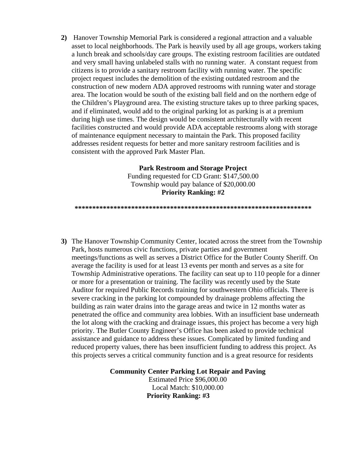**2)** Hanover Township Memorial Park is considered a regional attraction and a valuable asset to local neighborhoods. The Park is heavily used by all age groups, workers taking a lunch break and schools/day care groups. The existing restroom facilities are outdated and very small having unlabeled stalls with no running water. A constant request from citizens is to provide a sanitary restroom facility with running water. The specific project request includes the demolition of the existing outdated restroom and the construction of new modern ADA approved restrooms with running water and storage area. The location would be south of the existing ball field and on the northern edge of the Children's Playground area. The existing structure takes up to three parking spaces, and if eliminated, would add to the original parking lot as parking is at a premium during high use times. The design would be consistent architecturally with recent facilities constructed and would provide ADA acceptable restrooms along with storage of maintenance equipment necessary to maintain the Park. This proposed facility addresses resident requests for better and more sanitary restroom facilities and is consistent with the approved Park Master Plan.

# **Park Restroom and Storage Project**  Funding requested for CD Grant: \$147,500.00 Township would pay balance of \$20,000.00 **Priority Ranking: #2**

#### **\*\*\*\*\*\*\*\*\*\*\*\*\*\*\*\*\*\*\*\*\*\*\*\*\*\*\*\*\*\*\*\*\*\*\*\*\*\*\*\*\*\*\*\*\*\*\*\*\*\*\*\*\*\*\*\*\*\*\*\*\*\*\*\*\*\*\***

**3)** The Hanover Township Community Center, located across the street from the Township Park, hosts numerous civic functions, private parties and government meetings/functions as well as serves a District Office for the Butler County Sheriff. On average the facility is used for at least 13 events per month and serves as a site for Township Administrative operations. The facility can seat up to 110 people for a dinner or more for a presentation or training. The facility was recently used by the State Auditor for required Public Records training for southwestern Ohio officials. There is severe cracking in the parking lot compounded by drainage problems affecting the building as rain water drains into the garage areas and twice in 12 months water as penetrated the office and community area lobbies. With an insufficient base underneath the lot along with the cracking and drainage issues, this project has become a very high priority. The Butler County Engineer's Office has been asked to provide technical assistance and guidance to address these issues. Complicated by limited funding and reduced property values, there has been insufficient funding to address this project. As this projects serves a critical community function and is a great resource for residents

**Community Center Parking Lot Repair and Paving** 

Estimated Price \$96,000.00 Local Match: \$10,000.00 **Priority Ranking: #3**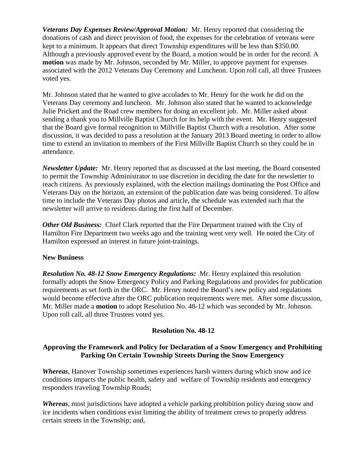*Veterans Day Expenses Review/Approval Motion:* Mr. Henry reported that considering the donations of cash and direct provision of food, the expenses for the celebration of veterans were kept to a minimum. It appears that direct Township expenditures will be less than \$350.00. Although a previously approved event by the Board, a motion would be in order for the record. A **motion** was made by Mr. Johnson, seconded by Mr. Miller, to approve payment for expenses associated with the 2012 Veterans Day Ceremony and Luncheon. Upon roll call, all three Trustees voted yes.

Mr. Johnson stated that he wanted to give accolades to Mr. Henry for the work he did on the Veterans Day ceremony and luncheon. Mr. Johnson also stated that he wanted to acknowledge Julie Prickett and the Road crew members for doing an excellent job. Mr. Miller asked about sending a thank you to Millville Baptist Church for its help with the event. Mr. Henry suggested that the Board give formal recognition to Millville Baptist Church with a resolution. After some discussion, it was decided to pass a resolution at the January 2013 Board meeting in order to allow time to extend an invitation to members of the First Millville Baptist Church so they could be in attendance.

*Newsletter Update:* Mr. Henry reported that as discussed at the last meeting, the Board consented to permit the Township Administrator to use discretion in deciding the date for the newsletter to reach citizens. As previously explained, with the election mailings dominating the Post Office and Veterans Day on the horizon, an extension of the publication date was being considered. To allow time to include the Veterans Day photos and article, the schedule was extended such that the newsletter will arrive to residents during the first half of December.

*Other Old Business:* Chief Clark reported that the Fire Department trained with the City of Hamilton Fire Department two weeks ago and the training went very well. He noted the City of Hamilton expressed an interest in future joint-trainings.

# **New Business**

*Resolution No. 48-12 Snow Emergency Regulations:* Mr. Henry explained this resolution formally adopts the Snow Emergency Policy and Parking Regulations and provides for publication requirements as set forth in the ORC. Mr. Henry noted the Board's new policy and regulations would become effective after the ORC publication requirements were met. After some discussion, Mr. Miller made a **motion** to adopt Resolution No. 48-12 which was seconded by Mr. Johnson. Upon roll call, all three Trustees voted yes.

# **Resolution No. 48-12**

# **Approving the Framework and Policy for Declaration of a Snow Emergency and Prohibiting Parking On Certain Township Streets During the Snow Emergency**

*Whereas*, Hanover Township sometimes experiences harsh winters during which snow and ice conditions impacts the public health, safety and welfare of Township residents and emergency responders traveling Township Roads;

*Whereas*, most jurisdictions have adopted a vehicle parking prohibition policy during snow and ice incidents when conditions exist limiting the ability of treatment crews to properly address certain streets in the Township; and,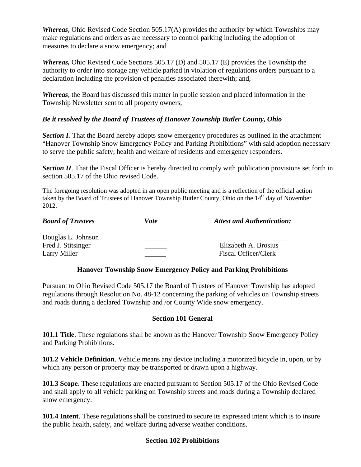*Whereas*, Ohio Revised Code Section 505.17(A) provides the authority by which Townships may make regulations and orders as are necessary to control parking including the adoption of measures to declare a snow emergency; and

*Whereas,* Ohio Revised Code Sections 505.17 (D) and 505.17 (E) provides the Township the authority to order into storage any vehicle parked in violation of regulations orders pursuant to a declaration including the provision of penalties associated therewith; and,

*Whereas*, the Board has discussed this matter in public session and placed information in the Township Newsletter sent to all property owners,

# *Be it resolved by the Board of Trustees of Hanover Township Butler County, Ohio*

**Section I.** That the Board hereby adopts snow emergency procedures as outlined in the attachment "Hanover Township Snow Emergency Policy and Parking Prohibitions" with said adoption necessary to serve the public safety, health and welfare of residents and emergency responders.

*Section II*. That the Fiscal Officer is hereby directed to comply with publication provisions set forth in section 505.17 of the Ohio revised Code.

The foregoing resolution was adopted in an open public meeting and is a reflection of the official action taken by the Board of Trustees of Hanover Township Butler County, Ohio on the 14<sup>th</sup> day of November 2012.

| <b>Board of Trustees</b> | Vote | <b>Attest and Authentication:</b> |
|--------------------------|------|-----------------------------------|
| Douglas L. Johnson       |      |                                   |
| Fred J. Stitsinger       |      | Elizabeth A. Brosius              |
| Larry Miller             |      | Fiscal Officer/Clerk              |

# **Hanover Township Snow Emergency Policy and Parking Prohibitions**

Pursuant to Ohio Revised Code 505.17 the Board of Trustees of Hanover Township has adopted regulations through Resolution No. 48-12 concerning the parking of vehicles on Township streets and roads during a declared Township and /or County Wide snow emergency.

# **Section 101 General**

**101.1 Title**. These regulations shall be known as the Hanover Township Snow Emergency Policy and Parking Prohibitions.

**101.2 Vehicle Definition**. Vehicle means any device including a motorized bicycle in, upon, or by which any person or property may be transported or drawn upon a highway.

**101.3 Scope**. These regulations are enacted pursuant to Section 505.17 of the Ohio Revised Code and shall apply to all vehicle parking on Township streets and roads during a Township declared snow emergency.

**101.4 Intent**. These regulations shall be construed to secure its expressed intent which is to insure the public health, safety, and welfare during adverse weather conditions.

# **Section 102 Prohibitions**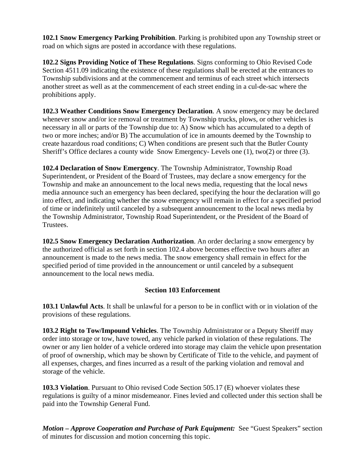**102.1 Snow Emergency Parking Prohibition**. Parking is prohibited upon any Township street or road on which signs are posted in accordance with these regulations.

**102.2 Signs Providing Notice of These Regulations**. Signs conforming to Ohio Revised Code Section 4511.09 indicating the existence of these regulations shall be erected at the entrances to Township subdivisions and at the commencement and terminus of each street which intersects another street as well as at the commencement of each street ending in a cul-de-sac where the prohibitions apply.

**102.3 Weather Conditions Snow Emergency Declaration**. A snow emergency may be declared whenever snow and/or ice removal or treatment by Township trucks, plows, or other vehicles is necessary in all or parts of the Township due to: A) Snow which has accumulated to a depth of two or more inches; and/or B) The accumulation of ice in amounts deemed by the Township to create hazardous road conditions; C) When conditions are present such that the Butler County Sheriff's Office declares a county wide Snow Emergency- Levels one (1), two(2) or three (3).

**102.4 Declaration of Snow Emergency**. The Township Administrator, Township Road Superintendent, or President of the Board of Trustees, may declare a snow emergency for the Township and make an announcement to the local news media, requesting that the local news media announce such an emergency has been declared, specifying the hour the declaration will go into effect, and indicating whether the snow emergency will remain in effect for a specified period of time or indefinitely until canceled by a subsequent announcement to the local news media by the Township Administrator, Township Road Superintendent, or the President of the Board of Trustees.

**102.5 Snow Emergency Declaration Authorization**. An order declaring a snow emergency by the authorized official as set forth in section 102.4 above becomes effective two hours after an announcement is made to the news media. The snow emergency shall remain in effect for the specified period of time provided in the announcement or until canceled by a subsequent announcement to the local news media.

# **Section 103 Enforcement**

**103.1 Unlawful Acts**. It shall be unlawful for a person to be in conflict with or in violation of the provisions of these regulations.

**103.2 Right to Tow/Impound Vehicles**. The Township Administrator or a Deputy Sheriff may order into storage or tow, have towed, any vehicle parked in violation of these regulations. The owner or any lien holder of a vehicle ordered into storage may claim the vehicle upon presentation of proof of ownership, which may be shown by Certificate of Title to the vehicle, and payment of all expenses, charges, and fines incurred as a result of the parking violation and removal and storage of the vehicle.

**103.3 Violation**. Pursuant to Ohio revised Code Section 505.17 (E) whoever violates these regulations is guilty of a minor misdemeanor. Fines levied and collected under this section shall be paid into the Township General Fund.

*Motion – Approve Cooperation and Purchase of Park Equipment:* See "Guest Speakers" section of minutes for discussion and motion concerning this topic.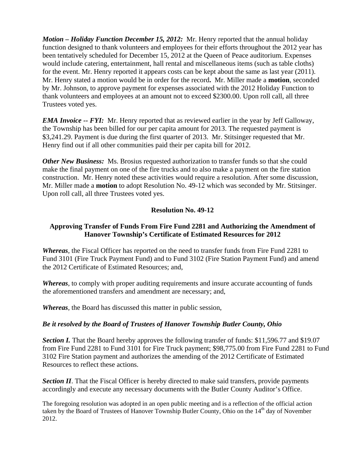*Motion – Holiday Function December 15, 2012:* Mr. Henry reported that the annual holiday function designed to thank volunteers and employees for their efforts throughout the 2012 year has been tentatively scheduled for December 15, 2012 at the Queen of Peace auditorium. Expenses would include catering, entertainment, hall rental and miscellaneous items (such as table cloths) for the event. Mr. Henry reported it appears costs can be kept about the same as last year (2011). Mr. Henry stated a motion would be in order for the record**.** Mr. Miller made a **motion**, seconded by Mr. Johnson, to approve payment for expenses associated with the 2012 Holiday Function to thank volunteers and employees at an amount not to exceed \$2300.00. Upon roll call, all three Trustees voted yes.

*EMA Invoice -- FYI:* Mr. Henry reported that as reviewed earlier in the year by Jeff Galloway, the Township has been billed for our per capita amount for 2013. The requested payment is \$3,241.29. Payment is due during the first quarter of 2013. Mr. Stitsinger requested that Mr. Henry find out if all other communities paid their per capita bill for 2012.

*Other New Business:* Ms. Brosius requested authorization to transfer funds so that she could make the final payment on one of the fire trucks and to also make a payment on the fire station construction. Mr. Henry noted these activities would require a resolution. After some discussion, Mr. Miller made a **motion** to adopt Resolution No. 49-12 which was seconded by Mr. Stitsinger. Upon roll call, all three Trustees voted yes.

#### **Resolution No. 49-12**

# **Approving Transfer of Funds From Fire Fund 2281 and Authorizing the Amendment of Hanover Township's Certificate of Estimated Resources for 2012**

*Whereas*, the Fiscal Officer has reported on the need to transfer funds from Fire Fund 2281 to Fund 3101 (Fire Truck Payment Fund) and to Fund 3102 (Fire Station Payment Fund) and amend the 2012 Certificate of Estimated Resources; and,

*Whereas*, to comply with proper auditing requirements and insure accurate accounting of funds the aforementioned transfers and amendment are necessary; and,

*Whereas*, the Board has discussed this matter in public session,

#### *Be it resolved by the Board of Trustees of Hanover Township Butler County, Ohio*

*Section I.* That the Board hereby approves the following transfer of funds: \$11,596.77 and \$19.07 from Fire Fund 2281 to Fund 3101 for Fire Truck payment; \$98,775.00 from Fire Fund 2281 to Fund 3102 Fire Station payment and authorizes the amending of the 2012 Certificate of Estimated Resources to reflect these actions.

**Section II**. That the Fiscal Officer is hereby directed to make said transfers, provide payments accordingly and execute any necessary documents with the Butler County Auditor's Office.

The foregoing resolution was adopted in an open public meeting and is a reflection of the official action taken by the Board of Trustees of Hanover Township Butler County, Ohio on the  $14<sup>th</sup>$  day of November 2012.